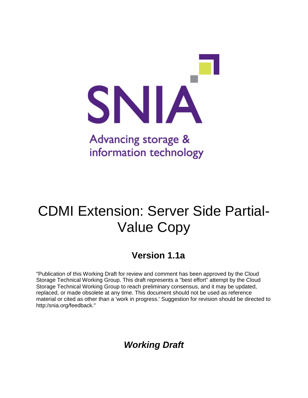

# CDMI Extension: Server Side Partial-Value Copy

# **Version 1.1a**

"Publication of this Working Draft for review and comment has been approved by the Cloud Storage Technical Working Group. This draft represents a "best effort" attempt by the Cloud Storage Technical Working Group to reach preliminary consensus, and it may be updated, replaced, or made obsolete at any time. This document should not be used as reference material or cited as other than a 'work in progress.' Suggestion for revision should be directed to http:/snia.org/feedback."

*Working Draft*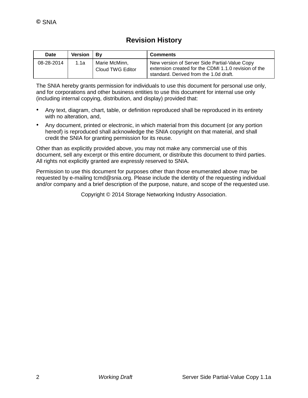# **Revision History**

| <b>Date</b> | Version   By |                                   | <b>Comments</b>                                                                                                                                 |
|-------------|--------------|-----------------------------------|-------------------------------------------------------------------------------------------------------------------------------------------------|
| 08-28-2014  | 1.1a         | Marie McMinn,<br>Cloud TWG Editor | New version of Server Side Partial-Value Copy<br>extension created for the CDMI 1.1.0 revision of the<br>standard. Derived from the 1.0d draft. |

The SNIA hereby grants permission for individuals to use this document for personal use only, and for corporations and other business entities to use this document for internal use only (including internal copying, distribution, and display) provided that:

- Any text, diagram, chart, table, or definition reproduced shall be reproduced in its entirety with no alteration, and,
- Any document, printed or electronic, in which material from this document (or any portion hereof) is reproduced shall acknowledge the SNIA copyright on that material, and shall credit the SNIA for granting permission for its reuse.

Other than as explicitly provided above, you may not make any commercial use of this document, sell any excerpt or this entire document, or distribute this document to third parties. All rights not explicitly granted are expressly reserved to SNIA.

Permission to use this document for purposes other than those enumerated above may be requested by e-mailing tcmd@snia.org. Please include the identity of the requesting individual and/or company and a brief description of the purpose, nature, and scope of the requested use.

Copyright © 2014 Storage Networking Industry Association.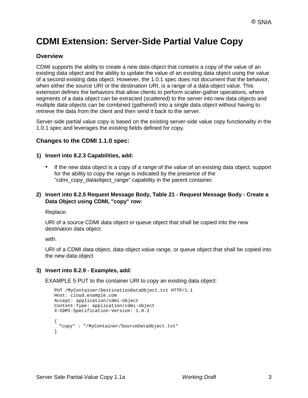# **CDMI Extension: Server-Side Partial Value Copy**

#### **Overview**

CDMI supports the ability to create a new data object that contains a copy of the value of an existing data object and the ability to update the value of an existing data object using the value of a second existing data object. However, the 1.0.1 spec does not document that the behavior, when either the source URI or the destination URI, is a range of a data object value. This extension defines the behaviors that allow clients to perform scatter-gather operations, where segments of a data object can be extracted (scattered) to the server into new data objects and multiple data objects can be combined (gathered) into a single data object without having to retrieve the data from the client and then send it back to the server.

Server-side partial value copy is based on the existing server-side value copy functionality in the 1.0.1 spec and leverages the existing fields defined for copy.

#### **Changes to the CDMI 1.1.0 spec:**

#### **1) Insert into 8.2.3 Capabilities, add:**

• If the new data object is a copy of a range of the value of an existing data object, support for the ability to copy the range is indicated by the presence of the "cdmi\_copy\_dataobject\_range" capability in the parent container.

#### **2) Insert into 8.2.5 Request Message Body, Table 21 - Request Message Body - Create a Data Object using CDMI, "copy" row:**

Replace:

URI of a source CDMI data object or queue object that shall be copied into the new destination data object.

with:

URI of a CDMI data object, data object value range, or queue object that shall be copied into the new data object

#### **3) Insert into 8.2.9 - Examples, add:**

EXAMPLE 5 PUT to the container URI to copy an existing data object:

```
PUT /MyContainer/DestinationDataObject.txt HTTP/1.1 
Host: cloud.example.com 
Accept: application/cdmi-object 
Content-Type: application/cdmi-object 
X-CDMI-Specification-Version: 1.0.2
{
 "copy" : "/MyContainer/SourceDataObject.txt"
}
```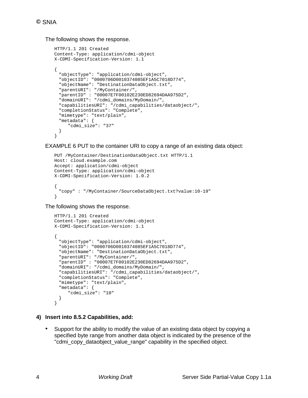The following shows the response.

```
HTTP/1.1 201 Created 
Content-Type: application/cdmi-object 
X-CDMI-Specification-Version: 1.1
{
  "objectType": "application/cdmi-object", 
  "objectID": "0000706D0010374085EF1A5C7018D774", 
  "objectName": "DestinationDataObject.txt", 
  "parentURI": "/MyContainer/", 
  "parentID" : "00007E7F00102E230ED82694DAA975D2", 
  "domainURI": "/cdmi_domains/MyDomain/", 
  "capabilitiesURI": "/cdmi_capabilities/dataobject/", 
  "completionStatus": "Complete", 
  "mimetype": "text/plain", 
  "metadata": {
     "cdmi_size": "37"
 }
}
```
EXAMPLE 6 PUT to the container URI to copy a range of an existing data object:

```
PUT /MyContainer/DestinationDataObject.txt HTTP/1.1 
Host: cloud.example.com 
Accept: application/cdmi-object 
Content-Type: application/cdmi-object 
X-CDMI-Specification-Version: 1.0.2
{
  "copy" : "/MyContainer/SourceDataObject.txt?value:10-19"
}
```
The following shows the response.

```
HTTP/1.1 201 Created 
Content-Type: application/cdmi-object 
X-CDMI-Specification-Version: 1.1
{
 "objectType": "application/cdmi-object", 
 "objectID": "0000706D0010374085EF1A5C7018D774", 
 "objectName": "DestinationDataObject.txt", 
  "parentURI": "/MyContainer/",
  "parentID" : "00007E7F00102E230ED82694DAA975D2", 
 "domainURI": "/cdmi_domains/MyDomain/", 
  "capabilitiesURI": "/cdmi_capabilities/dataobject/", 
 "completionStatus": "Complete", 
 "mimetype": "text/plain", 
 "metadata": {
     "cdmi_size": "10"
 }
}
```
### **4) Insert into 8.5.2 Capabilities, add:**

• Support for the ability to modify the value of an existing data object by copying a specified byte range from another data object is indicated by the presence of the "cdmi\_copy\_dataobject\_value\_range" capability in the specified object.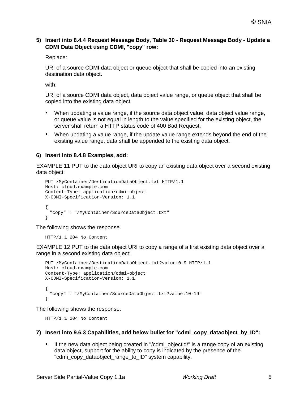#### **5) Insert into 8.4.4 Request Message Body, Table 30 - Request Message Body - Update a CDMI Data Object using CDMI, "copy" row:**

Replace:

URI of a source CDMI data object or queue object that shall be copied into an existing destination data object.

with:

URI of a source CDMI data object, data object value range, or queue object that shall be copied into the existing data object.

- When updating a value range, if the source data object value, data object value range, or queue value is not equal in length to the value specified for the existing object, the server shall return a HTTP status code of 400 Bad Request.
- When updating a value range, if the update value range extends beyond the end of the existing value range, data shall be appended to the existing data object.

#### **6) Insert into 8.4.8 Examples, add:**

EXAMPLE 11 PUT to the data object URI to copy an existing data object over a second existing data object:

```
PUT /MyContainer/DestinationDataObject.txt HTTP/1.1 
Host: cloud.example.com 
Content-Type: application/cdmi-object 
X-CDMI-Specification-Version: 1.1
{
 "copy" : "/MyContainer/SourceDataObject.txt"
}
```
The following shows the response.

```
HTTP/1.1 204 No Content
```
EXAMPLE 12 PUT to the data object URI to copy a range of a first existing data object over a range in a second existing data object:

```
PUT /MyContainer/DestinationDataObject.txt?value:0-9 HTTP/1.1 
Host: cloud.example.com 
Content-Type: application/cdmi-object 
X-CDMI-Specification-Version: 1.1
{
 "copy" : "/MyContainer/SourceDataObject.txt?value:10-19"
}
```
The following shows the response.

HTTP/1.1 204 No Content

#### **7) Insert into 9.6.3 Capabilities, add below bullet for "cdmi\_copy\_dataobject\_by\_ID":**

• If the new data object being created in "/cdmi\_objectid/" is a range copy of an existing data object, support for the ability to copy is indicated by the presence of the "cdmi\_copy\_dataobject\_range\_to\_ID" system capability.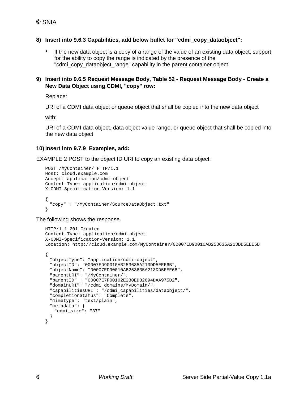#### **8) Insert into 9.6.3 Capabilities, add below bullet for "cdmi\_copy\_dataobject":**

• If the new data object is a copy of a range of the value of an existing data object, support for the ability to copy the range is indicated by the presence of the "cdmi\_copy\_dataobject\_range" capability in the parent container object.

#### **9) Insert into 9.6.5 Request Message Body, Table 52 - Request Message Body - Create a New Data Object using CDMI, "copy" row:**

Replace:

URI of a CDMI data object or queue object that shall be copied into the new data object

with:

URI of a CDMI data object, data object value range, or queue object that shall be copied into the new data object

#### **10) Insert into 9.7.9 Examples, add:**

EXAMPLE 2 POST to the object ID URI to copy an existing data object:

```
POST /MyContainer/ HTTP/1.1 
Host: cloud.example.com 
Accept: application/cdmi-object 
Content-Type: application/cdmi-object 
X-CDMI-Specification-Version: 1.1
{
  "copy" : "/MyContainer/SourceDataObject.txt"
}
```
The following shows the response.

```
HTTP/1.1 201 Created 
Content-Type: application/cdmi-object 
X-CDMI-Specification-Version: 1.1
Location: http://cloud.example.com/MyContainer/00007ED90010AB253635A213DD5EEE6B
{
  "objectType": "application/cdmi-object", 
  "objectID": "00007ED90010AB253635A213DD5EEE6B", 
  "objectName": "00007ED90010AB253635A213DD5EEE6B", 
  "parentURI": "/MyContainer/", 
 "parentID" : "00007E7F00102E230ED82694DAA975D2", 
 "domainURI": "/cdmi_domains/MyDomain/", 
  "capabilitiesURI": "/cdmi_capabilities/dataobject/", 
  "completionStatus": "Complete", 
 "mimetype": "text/plain", 
 "metadata": {
   "cdmi_size": "37"
  }
}
```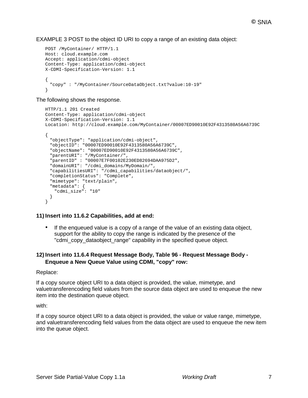#### EXAMPLE 3 POST to the object ID URI to copy a range of an existing data object:

```
POST /MyContainer/ HTTP/1.1 
Host: cloud.example.com 
Accept: application/cdmi-object 
Content-Type: application/cdmi-object 
X-CDMI-Specification-Version: 1.1
\{"copy" : "/MyContainer/SourceDataObject.txt?value:10-19"
}
```
The following shows the response.

```
HTTP/1.1 201 Created 
Content-Type: application/cdmi-object 
X-CDMI-Specification-Version: 1.1
Location: http://cloud.example.com/MyContainer/00007ED90010E92F4313580A56A6739C
{
 "objectType": "application/cdmi-object", 
 "objectID": "00007ED90010E92F4313580A56A6739C", 
 "objectName": "00007ED90010E92F4313580A56A6739C", 
 "parentURI": "/MyContainer/", 
 "parentID" : "00007E7F00102E230ED82694DAA975D2", 
 "domainURI": "/cdmi_domains/MyDomain/", 
 "capabilitiesURI": "/cdmi_capabilities/dataobject/", 
 "completionStatus": "Complete", 
 "mimetype": "text/plain", 
 "metadata": {
   "cdmi_size": "10"
 }
}
```
#### **11) Insert into 11.6.2 Capabilities, add at end:**

• If the enqueued value is a copy of a range of the value of an existing data object, support for the ability to copy the range is indicated by the presence of the "cdmi\_copy\_dataobject\_range" capability in the specified queue object.

#### **12) Insert into 11.6.4 Request Message Body, Table 96 - Request Message Body - Enqueue a New Queue Value using CDMI, "copy" row:**

#### Replace:

If a copy source object URI to a data object is provided, the value, mimetype, and valuetransferencoding field values from the source data object are used to enqueue the new item into the destination queue object.

with:

If a copy source object URI to a data object is provided, the value or value range, mimetype, and valuetransferencoding field values from the data object are used to enqueue the new item into the queue object.